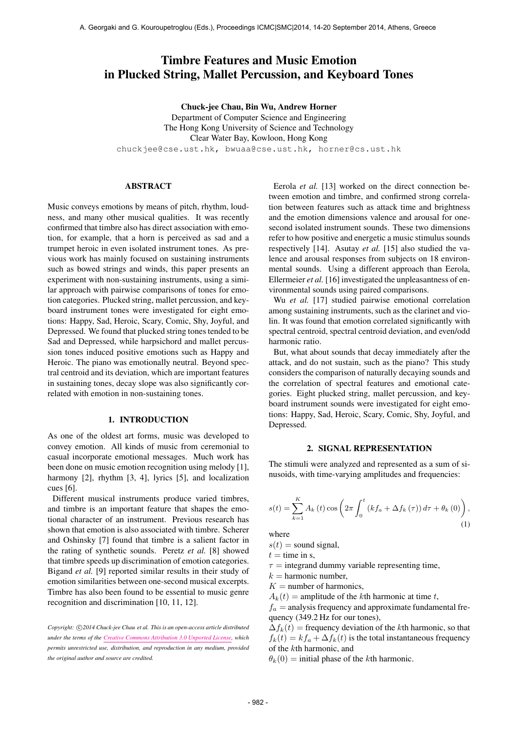# Timbre Features and Music Emotion in Plucked String, Mallet Percussion, and Keyboard Tones

Chuck-jee Chau, Bin Wu, Andrew Horner

Department of Computer Science and Engineering The Hong Kong University of Science and Technology Clear Water Bay, Kowloon, Hong Kong [chuckjee@cse.ust.hk,](mailto:chuckjee@cse.ust.hk) [bwuaa@cse.ust.hk,](mailto:bwuaa@cse.ust.hk) [horner@cs.ust.hk](mailto:horner@cs.ust.hk)

# ABSTRACT

Music conveys emotions by means of pitch, rhythm, loudness, and many other musical qualities. It was recently confirmed that timbre also has direct association with emotion, for example, that a horn is perceived as sad and a trumpet heroic in even isolated instrument tones. As previous work has mainly focused on sustaining instruments such as bowed strings and winds, this paper presents an experiment with non-sustaining instruments, using a similar approach with pairwise comparisons of tones for emotion categories. Plucked string, mallet percussion, and keyboard instrument tones were investigated for eight emotions: Happy, Sad, Heroic, Scary, Comic, Shy, Joyful, and Depressed. We found that plucked string tones tended to be Sad and Depressed, while harpsichord and mallet percussion tones induced positive emotions such as Happy and Heroic. The piano was emotionally neutral. Beyond spectral centroid and its deviation, which are important features in sustaining tones, decay slope was also significantly correlated with emotion in non-sustaining tones.

# 1. INTRODUCTION

As one of the oldest art forms, music was developed to convey emotion. All kinds of music from ceremonial to casual incorporate emotional messages. Much work has been done on music emotion recognition using melody [1], harmony [2], rhythm [3, 4], lyrics [5], and localization cues [6].

Different musical instruments produce varied timbres, and timbre is an important feature that shapes the emotional character of an instrument. Previous research has shown that emotion is also associated with timbre. Scherer and Oshinsky [7] found that timbre is a salient factor in the rating of synthetic sounds. Peretz *et al.* [8] showed that timbre speeds up discrimination of emotion categories. Bigand *et al.* [9] reported similar results in their study of emotion similarities between one-second musical excerpts. Timbre has also been found to be essential to music genre recognition and discrimination [10, 11, 12].

Copyright:  $\bigcirc$ 2014 Chuck-jee Chau et al. This is an open-access article distributed *under the terms of the [Creative Commons Attribution 3.0 Unported License,](http://creativecommons.org/licenses/by/3.0/) which permits unrestricted use, distribution, and reproduction in any medium, provided the original author and source are credited.*

Eerola *et al.* [13] worked on the direct connection between emotion and timbre, and confirmed strong correlation between features such as attack time and brightness and the emotion dimensions valence and arousal for onesecond isolated instrument sounds. These two dimensions refer to how positive and energetic a music stimulus sounds respectively [14]. Asutay *et al.* [15] also studied the valence and arousal responses from subjects on 18 environmental sounds. Using a different approach than Eerola, Ellermeier *et al.* [16] investigated the unpleasantness of environmental sounds using paired comparisons.

Wu *et al.* [17] studied pairwise emotional correlation among sustaining instruments, such as the clarinet and violin. It was found that emotion correlated significantly with spectral centroid, spectral centroid deviation, and even/odd harmonic ratio.

But, what about sounds that decay immediately after the attack, and do not sustain, such as the piano? This study considers the comparison of naturally decaying sounds and the correlation of spectral features and emotional categories. Eight plucked string, mallet percussion, and keyboard instrument sounds were investigated for eight emotions: Happy, Sad, Heroic, Scary, Comic, Shy, Joyful, and Depressed.

#### 2. SIGNAL REPRESENTATION

The stimuli were analyzed and represented as a sum of sinusoids, with time-varying amplitudes and frequencies:

$$
s(t) = \sum_{k=1}^{K} A_k(t) \cos \left( 2\pi \int_0^t \left( k f_a + \Delta f_k(\tau) \right) d\tau + \theta_k(0) \right),
$$
\n(1)

where

 $s(t)$  = sound signal,

 $t =$  time in s,

 $\tau$  = integrand dummy variable representing time,

 $k =$  harmonic number.

- $K =$  number of harmonics,
- $A_k(t)$  = amplitude of the kth harmonic at time t,

 $f_a$  = analysis frequency and approximate fundamental frequency (349.2 Hz for our tones),

 $\Delta f_k(t)$  = frequency deviation of the kth harmonic, so that  $f_k(t) = kf_a + \Delta f_k(t)$  is the total instantaneous frequency of the kth harmonic, and

 $\theta_k(0)$  = initial phase of the kth harmonic.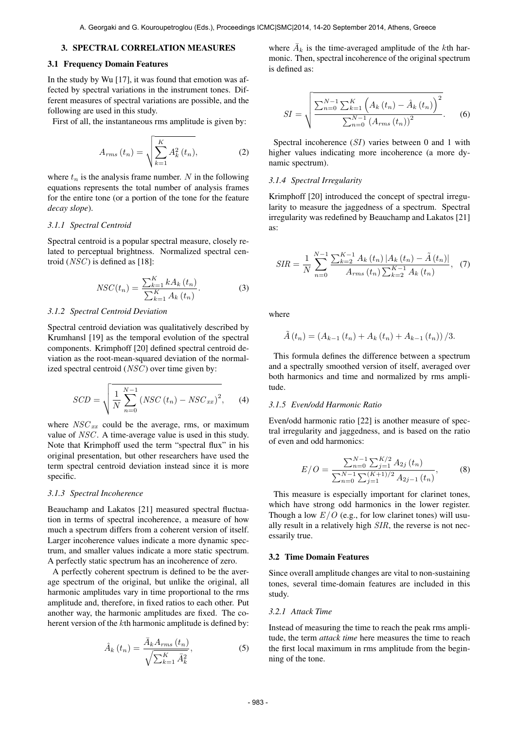# 3. SPECTRAL CORRELATION MEASURES

# 3.1 Frequency Domain Features

In the study by Wu [17], it was found that emotion was affected by spectral variations in the instrument tones. Different measures of spectral variations are possible, and the following are used in this study.

First of all, the instantaneous rms amplitude is given by:

$$
A_{rms}(t_n) = \sqrt{\sum_{k=1}^{K} A_k^2(t_n)},
$$
 (2)

where  $t_n$  is the analysis frame number. N in the following equations represents the total number of analysis frames for the entire tone (or a portion of the tone for the feature *decay slope*).

#### *3.1.1 Spectral Centroid*

Spectral centroid is a popular spectral measure, closely related to perceptual brightness. Normalized spectral centroid  $(NSC)$  is defined as [18]:

$$
NSC(t_n) = \frac{\sum_{k=1}^{K} k A_k(t_n)}{\sum_{k=1}^{K} A_k(t_n)}.
$$
 (3)

## *3.1.2 Spectral Centroid Deviation*

Spectral centroid deviation was qualitatively described by Krumhansl [19] as the temporal evolution of the spectral components. Krimphoff [20] defined spectral centroid deviation as the root-mean-squared deviation of the normalized spectral centroid  $(NSC)$  over time given by:

$$
SCD = \sqrt{\frac{1}{N} \sum_{n=0}^{N-1} (NSC(t_n) - NSC_{xx})^2},
$$
 (4)

where  $NSC_{xx}$  could be the average, rms, or maximum value of NSC. A time-average value is used in this study. Note that Krimphoff used the term "spectral flux" in his original presentation, but other researchers have used the term spectral centroid deviation instead since it is more specific.

#### *3.1.3 Spectral Incoherence*

Beauchamp and Lakatos [21] measured spectral fluctuation in terms of spectral incoherence, a measure of how much a spectrum differs from a coherent version of itself. Larger incoherence values indicate a more dynamic spectrum, and smaller values indicate a more static spectrum. A perfectly static spectrum has an incoherence of zero.

A perfectly coherent spectrum is defined to be the average spectrum of the original, but unlike the original, all harmonic amplitudes vary in time proportional to the rms amplitude and, therefore, in fixed ratios to each other. Put another way, the harmonic amplitudes are fixed. The coherent version of the kth harmonic amplitude is defined by:

$$
\hat{A}_{k}\left(t_{n}\right) = \frac{\bar{A}_{k}A_{rms}\left(t_{n}\right)}{\sqrt{\sum_{k=1}^{K}\bar{A}_{k}^{2}}},\tag{5}
$$

where  $\overline{A}_k$  is the time-averaged amplitude of the kth harmonic. Then, spectral incoherence of the original spectrum is defined as:

$$
SI = \sqrt{\frac{\sum_{n=0}^{N-1} \sum_{k=1}^{K} \left( A_k(t_n) - \hat{A}_k(t_n) \right)^2}{\sum_{n=0}^{N-1} \left( A_{rms}(t_n) \right)^2}}.
$$
 (6)

Spectral incoherence (SI) varies between 0 and 1 with higher values indicating more incoherence (a more dynamic spectrum).

### *3.1.4 Spectral Irregularity*

Krimphoff [20] introduced the concept of spectral irregularity to measure the jaggedness of a spectrum. Spectral irregularity was redefined by Beauchamp and Lakatos [21] as:

$$
SIR = \frac{1}{N} \sum_{n=0}^{N-1} \frac{\sum_{k=2}^{K-1} A_k(t_n) |A_k(t_n) - \tilde{A}(t_n)|}{A_{rms}(t_n) \sum_{k=2}^{K-1} A_k(t_n)}, \quad (7)
$$

where

$$
\tilde{A}(t_n) = (A_{k-1}(t_n) + A_k(t_n) + A_{k-1}(t_n)) / 3.
$$

This formula defines the difference between a spectrum and a spectrally smoothed version of itself, averaged over both harmonics and time and normalized by rms amplitude.

# *3.1.5 Even/odd Harmonic Ratio*

Even/odd harmonic ratio [22] is another measure of spectral irregularity and jaggedness, and is based on the ratio of even and odd harmonics:

$$
E/O = \frac{\sum_{n=0}^{N-1} \sum_{j=1}^{K/2} A_{2j} (t_n)}{\sum_{n=0}^{N-1} \sum_{j=1}^{(K+1)/2} A_{2j-1} (t_n)},
$$
(8)

This measure is especially important for clarinet tones, which have strong odd harmonics in the lower register. Though a low  $E/O$  (e.g., for low clarinet tones) will usually result in a relatively high SIR, the reverse is not necessarily true.

#### 3.2 Time Domain Features

Since overall amplitude changes are vital to non-sustaining tones, several time-domain features are included in this study.

# *3.2.1 Attack Time*

Instead of measuring the time to reach the peak rms amplitude, the term *attack time* here measures the time to reach the first local maximum in rms amplitude from the beginning of the tone.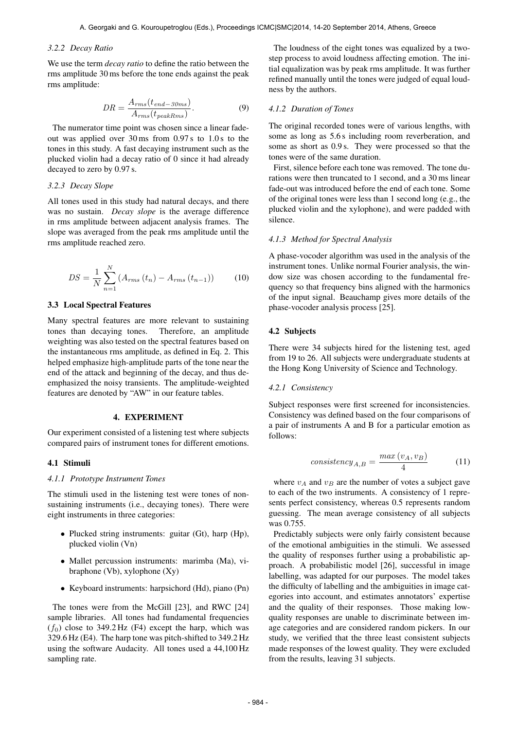#### *3.2.2 Decay Ratio*

We use the term *decay ratio* to define the ratio between the rms amplitude 30 ms before the tone ends against the peak rms amplitude:

$$
DR = \frac{A_{rms}(t_{end-30ms})}{A_{rms}(t_{peakRms})}.
$$
\n(9)

The numerator time point was chosen since a linear fadeout was applied over 30 ms from 0.97 s to 1.0 s to the tones in this study. A fast decaying instrument such as the plucked violin had a decay ratio of 0 since it had already decayed to zero by 0.97 s.

# *3.2.3 Decay Slope*

All tones used in this study had natural decays, and there was no sustain. *Decay slope* is the average difference in rms amplitude between adjacent analysis frames. The slope was averaged from the peak rms amplitude until the rms amplitude reached zero.

$$
DS = \frac{1}{N} \sum_{n=1}^{N} (A_{rms}(t_n) - A_{rms}(t_{n-1}))
$$
 (10)

# 3.3 Local Spectral Features

Many spectral features are more relevant to sustaining tones than decaying tones. Therefore, an amplitude weighting was also tested on the spectral features based on the instantaneous rms amplitude, as defined in Eq. 2. This helped emphasize high-amplitude parts of the tone near the end of the attack and beginning of the decay, and thus deemphasized the noisy transients. The amplitude-weighted features are denoted by "AW" in our feature tables.

# 4. EXPERIMENT

Our experiment consisted of a listening test where subjects compared pairs of instrument tones for different emotions.

#### 4.1 Stimuli

#### *4.1.1 Prototype Instrument Tones*

The stimuli used in the listening test were tones of nonsustaining instruments (i.e., decaying tones). There were eight instruments in three categories:

- Plucked string instruments: guitar (Gt), harp (Hp), plucked violin (Vn)
- Mallet percussion instruments: marimba (Ma), vibraphone (Vb), xylophone  $(Xy)$
- Keyboard instruments: harpsichord (Hd), piano (Pn)

The tones were from the McGill [23], and RWC [24] sample libraries. All tones had fundamental frequencies  $(f_0)$  close to 349.2 Hz (F4) except the harp, which was 329.6 Hz (E4). The harp tone was pitch-shifted to 349.2 Hz using the software Audacity. All tones used a 44,100 Hz sampling rate.

The loudness of the eight tones was equalized by a twostep process to avoid loudness affecting emotion. The initial equalization was by peak rms amplitude. It was further refined manually until the tones were judged of equal loudness by the authors.

# *4.1.2 Duration of Tones*

The original recorded tones were of various lengths, with some as long as 5.6 s including room reverberation, and some as short as 0.9 s. They were processed so that the tones were of the same duration.

First, silence before each tone was removed. The tone durations were then truncated to 1 second, and a 30 ms linear fade-out was introduced before the end of each tone. Some of the original tones were less than 1 second long (e.g., the plucked violin and the xylophone), and were padded with silence.

#### *4.1.3 Method for Spectral Analysis*

A phase-vocoder algorithm was used in the analysis of the instrument tones. Unlike normal Fourier analysis, the window size was chosen according to the fundamental frequency so that frequency bins aligned with the harmonics of the input signal. Beauchamp gives more details of the phase-vocoder analysis process [25].

#### 4.2 Subjects

There were 34 subjects hired for the listening test, aged from 19 to 26. All subjects were undergraduate students at the Hong Kong University of Science and Technology.

### *4.2.1 Consistency*

Subject responses were first screened for inconsistencies. Consistency was defined based on the four comparisons of a pair of instruments A and B for a particular emotion as follows:

$$
consistency_{A,B} = \frac{max\left(v_A, v_B\right)}{4} \tag{11}
$$

where  $v_A$  and  $v_B$  are the number of votes a subject gave to each of the two instruments. A consistency of 1 represents perfect consistency, whereas 0.5 represents random guessing. The mean average consistency of all subjects was 0.755.

Predictably subjects were only fairly consistent because of the emotional ambiguities in the stimuli. We assessed the quality of responses further using a probabilistic approach. A probabilistic model [26], successful in image labelling, was adapted for our purposes. The model takes the difficulty of labelling and the ambiguities in image categories into account, and estimates annotators' expertise and the quality of their responses. Those making lowquality responses are unable to discriminate between image categories and are considered random pickers. In our study, we verified that the three least consistent subjects made responses of the lowest quality. They were excluded from the results, leaving 31 subjects.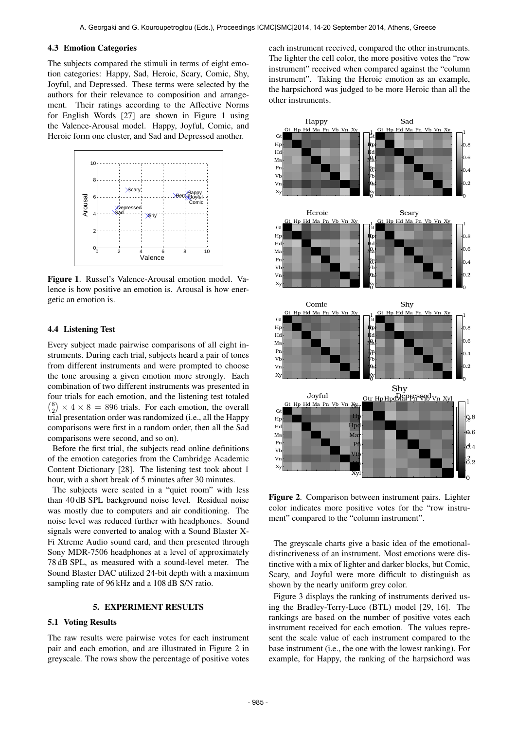#### 4.3 Emotion Categories

The subjects compared the stimuli in terms of eight emotion categories: Happy, Sad, Heroic, Scary, Comic, Shy, Joyful, and Depressed. These terms were selected by the authors for their relevance to composition and arrangement. Their ratings according to the Affective Norms for English Words [27] are shown in Figure 1 using the Valence-Arousal model. Happy, Joyful, Comic, and Heroic form one cluster, and Sad and Depressed another.



Figure 1. Russel's Valence-Arousal emotion model. Valence is how positive an emotion is. Arousal is how energetic an emotion is.

# 4.4 Listening Test

Every subject made pairwise comparisons of all eight instruments. During each trial, subjects heard a pair of tones from different instruments and were prompted to choose the tone arousing a given emotion more strongly. Each combination of two different instruments was presented in four trials for each emotion, and the listening test totaled  ${8 \choose 2} \times 4 \times 8 = 896$  trials. For each emotion, the overall trial presentation order was randomized (i.e., all the Happy comparisons were first in a random order, then all the Sad comparisons were second, and so on).

Before the first trial, the subjects read online definitions of the emotion categories from the Cambridge Academic Content Dictionary [28]. The listening test took about 1 hour, with a short break of 5 minutes after 30 minutes.

The subjects were seated in a "quiet room" with less than 40 dB SPL background noise level. Residual noise was mostly due to computers and air conditioning. The noise level was reduced further with headphones. Sound signals were converted to analog with a Sound Blaster X-Fi Xtreme Audio sound card, and then presented through Sony MDR-7506 headphones at a level of approximately 78 dB SPL, as measured with a sound-level meter. The Sound Blaster DAC utilized 24-bit depth with a maximum sampling rate of 96 kHz and a 108 dB S/N ratio.

# 5. EXPERIMENT RESULTS

# 5.1 Voting Results

The raw results were pairwise votes for each instrument pair and each emotion, and are illustrated in Figure 2 in greyscale. The rows show the percentage of positive votes each instrument received, compared the other instruments. The lighter the cell color, the more positive votes the "row instrument" received when compared against the "column instrument". Taking the Heroic emotion as an example, the harpsichord was judged to be more Heroic than all the other instruments.



Figure 2. Comparison between instrument pairs. Lighter color indicates more positive votes for the "row instrument" compared to the "column instrument".

The greyscale charts give a basic idea of the emotionaldistinctiveness of an instrument. Most emotions were distinctive with a mix of lighter and darker blocks, but Comic, Scary, and Joyful were more difficult to distinguish as shown by the nearly uniform grey color.

Figure 3 displays the ranking of instruments derived using the Bradley-Terry-Luce (BTL) model [29, 16]. The rankings are based on the number of positive votes each instrument received for each emotion. The values represent the scale value of each instrument compared to the base instrument (i.e., the one with the lowest ranking). For example, for Happy, the ranking of the harpsichord was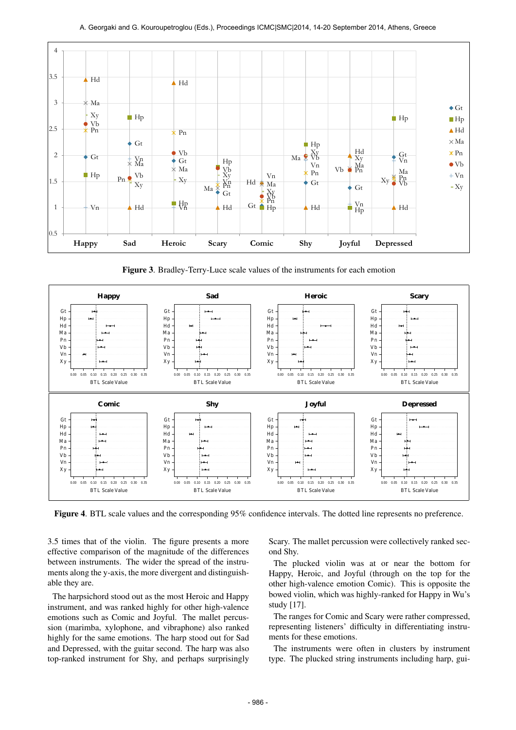

Figure 3. Bradley-Terry-Luce scale values of the instruments for each emotion



Figure 4. BTL scale values and the corresponding 95% confidence intervals. The dotted line represents no preference.

3.5 times that of the violin. The figure presents a more effective comparison of the magnitude of the differences between instruments. The wider the spread of the instruments along the y-axis, the more divergent and distinguishable they are.

The harpsichord stood out as the most Heroic and Happy instrument, and was ranked highly for other high-valence emotions such as Comic and Joyful. The mallet percussion (marimba, xylophone, and vibraphone) also ranked highly for the same emotions. The harp stood out for Sad and Depressed, with the guitar second. The harp was also top-ranked instrument for Shy, and perhaps surprisingly Scary. The mallet percussion were collectively ranked second Shy.

The plucked violin was at or near the bottom for Happy, Heroic, and Joyful (through on the top for the other high-valence emotion Comic). This is opposite the bowed violin, which was highly-ranked for Happy in Wu's study [17].

The ranges for Comic and Scary were rather compressed, representing listeners' difficulty in differentiating instruments for these emotions.

The instruments were often in clusters by instrument type. The plucked string instruments including harp, gui-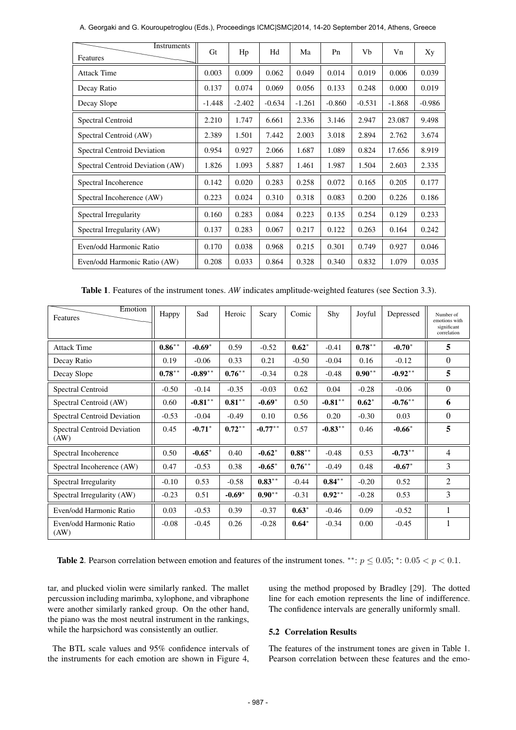| Instruments<br>Features          | Gt       | Hp       | Hd       | Ma       | P <sub>n</sub> | Vb       | Vn       | Xy       |
|----------------------------------|----------|----------|----------|----------|----------------|----------|----------|----------|
| <b>Attack Time</b>               | 0.003    | 0.009    | 0.062    | 0.049    | 0.014          | 0.019    | 0.006    | 0.039    |
| Decay Ratio                      | 0.137    | 0.074    | 0.069    | 0.056    | 0.133          | 0.248    | 0.000    | 0.019    |
| Decay Slope                      | $-1.448$ | $-2.402$ | $-0.634$ | $-1.261$ | $-0.860$       | $-0.531$ | $-1.868$ | $-0.986$ |
| Spectral Centroid                | 2.210    | 1.747    | 6.661    | 2.336    | 3.146          | 2.947    | 23.087   | 9.498    |
| Spectral Centroid (AW)           | 2.389    | 1.501    | 7.442    | 2.003    | 3.018          | 2.894    | 2.762    | 3.674    |
| Spectral Centroid Deviation      | 0.954    | 0.927    | 2.066    | 1.687    | 1.089          | 0.824    | 17.656   | 8.919    |
| Spectral Centroid Deviation (AW) | 1.826    | 1.093    | 5.887    | 1.461    | 1.987          | 1.504    | 2.603    | 2.335    |
| Spectral Incoherence             | 0.142    | 0.020    | 0.283    | 0.258    | 0.072          | 0.165    | 0.205    | 0.177    |
| Spectral Incoherence (AW)        | 0.223    | 0.024    | 0.310    | 0.318    | 0.083          | 0.200    | 0.226    | 0.186    |
| Spectral Irregularity            | 0.160    | 0.283    | 0.084    | 0.223    | 0.135          | 0.254    | 0.129    | 0.233    |
| Spectral Irregularity (AW)       | 0.137    | 0.283    | 0.067    | 0.217    | 0.122          | 0.263    | 0.164    | 0.242    |
| Even/odd Harmonic Ratio          | 0.170    | 0.038    | 0.968    | 0.215    | 0.301          | 0.749    | 0.927    | 0.046    |
| Even/odd Harmonic Ratio (AW)     | 0.208    | 0.033    | 0.864    | 0.328    | 0.340          | 0.832    | 1.079    | 0.035    |

A. Georgaki and G. Kouroupetroglou (Eds.), Proceedings ICMC|SMC|2014, 14-20 September 2014, Athens, Greece

Table 1. Features of the instrument tones. *AW* indicates amplitude-weighted features (see Section 3.3).

| Emotion<br>Features                 | Happy     | Sad        | Heroic    | Scary      | Comic     | Shy        | Joyful    | Depressed  | Number of<br>emotions with<br>significant<br>correlation |
|-------------------------------------|-----------|------------|-----------|------------|-----------|------------|-----------|------------|----------------------------------------------------------|
| <b>Attack Time</b>                  | $0.86***$ | $-0.69*$   | 0.59      | $-0.52$    | $0.62*$   | $-0.41$    | $0.78***$ | $-0.70*$   | 5                                                        |
| Decay Ratio                         | 0.19      | $-0.06$    | 0.33      | 0.21       | $-0.50$   | $-0.04$    | 0.16      | $-0.12$    | $\Omega$                                                 |
| Decay Slope                         | $0.78***$ | $-0.89**$  | $0.76***$ | $-0.34$    | 0.28      | $-0.48$    | $0.90***$ | $-0.92**$  | 5                                                        |
| Spectral Centroid                   | $-0.50$   | $-0.14$    | $-0.35$   | $-0.03$    | 0.62      | 0.04       | $-0.28$   | $-0.06$    | $\Omega$                                                 |
| Spectral Centroid (AW)              | 0.60      | $-0.81***$ | $0.81***$ | $-0.69*$   | 0.50      | $-0.81***$ | $0.62*$   | $-0.76***$ | 6                                                        |
| Spectral Centroid Deviation         | $-0.53$   | $-0.04$    | $-0.49$   | 0.10       | 0.56      | 0.20       | $-0.30$   | 0.03       | $\Omega$                                                 |
| Spectral Centroid Deviation<br>(AW) | 0.45      | $-0.71*$   | $0.72***$ | $-0.77***$ | 0.57      | $-0.83***$ | 0.46      | $-0.66*$   | 5                                                        |
| Spectral Incoherence                | 0.50      | $-0.65*$   | 0.40      | $-0.62*$   | $0.88***$ | $-0.48$    | 0.53      | $-0.73***$ | $\overline{4}$                                           |
| Spectral Incoherence (AW)           | 0.47      | $-0.53$    | 0.38      | $-0.65*$   | $0.76***$ | $-0.49$    | 0.48      | $-0.67*$   | 3                                                        |
| Spectral Irregularity               | $-0.10$   | 0.53       | $-0.58$   | $0.83***$  | $-0.44$   | $0.84***$  | $-0.20$   | 0.52       | 2                                                        |
| Spectral Irregularity (AW)          | $-0.23$   | 0.51       | $-0.69*$  | $0.90**$   | $-0.31$   | $0.92**$   | $-0.28$   | 0.53       | 3                                                        |
| Even/odd Harmonic Ratio             | 0.03      | $-0.53$    | 0.39      | $-0.37$    | $0.63*$   | $-0.46$    | 0.09      | $-0.52$    | 1                                                        |
| Even/odd Harmonic Ratio<br>(AW)     | $-0.08$   | $-0.45$    | 0.26      | $-0.28$    | $0.64*$   | $-0.34$    | 0.00      | $-0.45$    |                                                          |

Table 2. Pearson correlation between emotion and features of the instrument tones. \*\*:  $p \le 0.05$ ; \*:  $0.05 < p < 0.1$ .

tar, and plucked violin were similarly ranked. The mallet percussion including marimba, xylophone, and vibraphone were another similarly ranked group. On the other hand, the piano was the most neutral instrument in the rankings, while the harpsichord was consistently an outlier.

The BTL scale values and 95% confidence intervals of the instruments for each emotion are shown in Figure 4,

using the method proposed by Bradley [29]. The dotted line for each emotion represents the line of indifference. The confidence intervals are generally uniformly small.

# 5.2 Correlation Results

The features of the instrument tones are given in Table 1. Pearson correlation between these features and the emo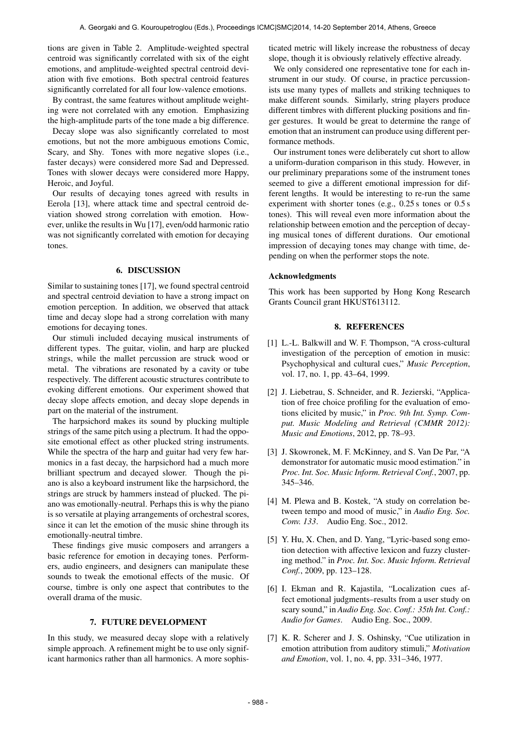tions are given in Table 2. Amplitude-weighted spectral centroid was significantly correlated with six of the eight emotions, and amplitude-weighted spectral centroid deviation with five emotions. Both spectral centroid features significantly correlated for all four low-valence emotions.

By contrast, the same features without amplitude weighting were not correlated with any emotion. Emphasizing the high-amplitude parts of the tone made a big difference.

Decay slope was also significantly correlated to most emotions, but not the more ambiguous emotions Comic, Scary, and Shy. Tones with more negative slopes (i.e., faster decays) were considered more Sad and Depressed. Tones with slower decays were considered more Happy, Heroic, and Joyful.

Our results of decaying tones agreed with results in Eerola [13], where attack time and spectral centroid deviation showed strong correlation with emotion. However, unlike the results in Wu [17], even/odd harmonic ratio was not significantly correlated with emotion for decaying tones.

# 6. DISCUSSION

Similar to sustaining tones [17], we found spectral centroid and spectral centroid deviation to have a strong impact on emotion perception. In addition, we observed that attack time and decay slope had a strong correlation with many emotions for decaying tones.

Our stimuli included decaying musical instruments of different types. The guitar, violin, and harp are plucked strings, while the mallet percussion are struck wood or metal. The vibrations are resonated by a cavity or tube respectively. The different acoustic structures contribute to evoking different emotions. Our experiment showed that decay slope affects emotion, and decay slope depends in part on the material of the instrument.

The harpsichord makes its sound by plucking multiple strings of the same pitch using a plectrum. It had the opposite emotional effect as other plucked string instruments. While the spectra of the harp and guitar had very few harmonics in a fast decay, the harpsichord had a much more brilliant spectrum and decayed slower. Though the piano is also a keyboard instrument like the harpsichord, the strings are struck by hammers instead of plucked. The piano was emotionally-neutral. Perhaps this is why the piano is so versatile at playing arrangements of orchestral scores, since it can let the emotion of the music shine through its emotionally-neutral timbre.

These findings give music composers and arrangers a basic reference for emotion in decaying tones. Performers, audio engineers, and designers can manipulate these sounds to tweak the emotional effects of the music. Of course, timbre is only one aspect that contributes to the overall drama of the music.

# 7. FUTURE DEVELOPMENT

In this study, we measured decay slope with a relatively simple approach. A refinement might be to use only significant harmonics rather than all harmonics. A more sophisticated metric will likely increase the robustness of decay slope, though it is obviously relatively effective already.

We only considered one representative tone for each instrument in our study. Of course, in practice percussionists use many types of mallets and striking techniques to make different sounds. Similarly, string players produce different timbres with different plucking positions and finger gestures. It would be great to determine the range of emotion that an instrument can produce using different performance methods.

Our instrument tones were deliberately cut short to allow a uniform-duration comparison in this study. However, in our preliminary preparations some of the instrument tones seemed to give a different emotional impression for different lengths. It would be interesting to re-run the same experiment with shorter tones (e.g., 0.25 s tones or 0.5 s tones). This will reveal even more information about the relationship between emotion and the perception of decaying musical tones of different durations. Our emotional impression of decaying tones may change with time, depending on when the performer stops the note.

#### Acknowledgments

This work has been supported by Hong Kong Research Grants Council grant HKUST613112.

# 8. REFERENCES

- [1] L.-L. Balkwill and W. F. Thompson, "A cross-cultural investigation of the perception of emotion in music: Psychophysical and cultural cues," *Music Perception*, vol. 17, no. 1, pp. 43–64, 1999.
- [2] J. Liebetrau, S. Schneider, and R. Jezierski, "Application of free choice profiling for the evaluation of emotions elicited by music," in *Proc. 9th Int. Symp. Comput. Music Modeling and Retrieval (CMMR 2012): Music and Emotions*, 2012, pp. 78–93.
- [3] J. Skowronek, M. F. McKinney, and S. Van De Par, "A demonstrator for automatic music mood estimation." in *Proc. Int. Soc. Music Inform. Retrieval Conf.*, 2007, pp. 345–346.
- [4] M. Plewa and B. Kostek, "A study on correlation between tempo and mood of music," in *Audio Eng. Soc. Conv. 133*. Audio Eng. Soc., 2012.
- [5] Y. Hu, X. Chen, and D. Yang, "Lyric-based song emotion detection with affective lexicon and fuzzy clustering method." in *Proc. Int. Soc. Music Inform. Retrieval Conf.*, 2009, pp. 123–128.
- [6] I. Ekman and R. Kajastila, "Localization cues affect emotional judgments–results from a user study on scary sound," in *Audio Eng. Soc. Conf.: 35th Int. Conf.: Audio for Games*. Audio Eng. Soc., 2009.
- [7] K. R. Scherer and J. S. Oshinsky, "Cue utilization in emotion attribution from auditory stimuli," *Motivation and Emotion*, vol. 1, no. 4, pp. 331–346, 1977.